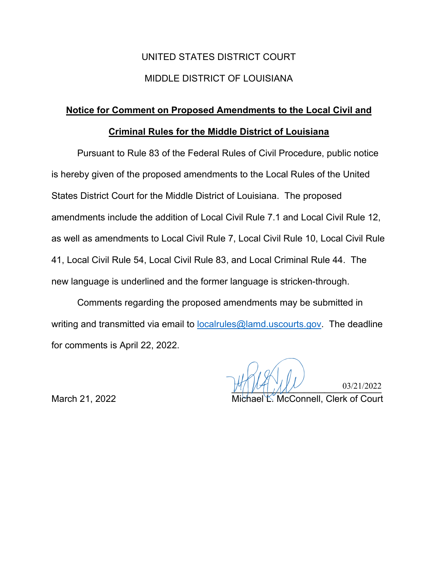# UNITED STATES DISTRICT COURT MIDDLE DISTRICT OF LOUISIANA

# **Notice for Comment on Proposed Amendments to the Local Civil and**

# **Criminal Rules for the Middle District of Louisiana**

Pursuant to Rule 83 of the Federal Rules of Civil Procedure, public notice is hereby given of the proposed amendments to the Local Rules of the United States District Court for the Middle District of Louisiana. The proposed amendments include the addition of Local Civil Rule 7.1 and Local Civil Rule 12, as well as amendments to Local Civil Rule 7, Local Civil Rule 10, Local Civil Rule 41, Local Civil Rule 54, Local Civil Rule 83, and Local Criminal Rule 44. The new language is underlined and the former language is stricken-through.

Comments regarding the proposed amendments may be submitted in writing and transmitted via email to **localrules@lamd.uscourts.gov.** The deadline for comments is April 22, 2022.

 $U''/|U''|$ ,  $1/1/1$ ,  $03/21/2022$ WAW 03/21/2022<br>Michael L. McConnell, Clerk of Court

03/21/2022

March 21, 2022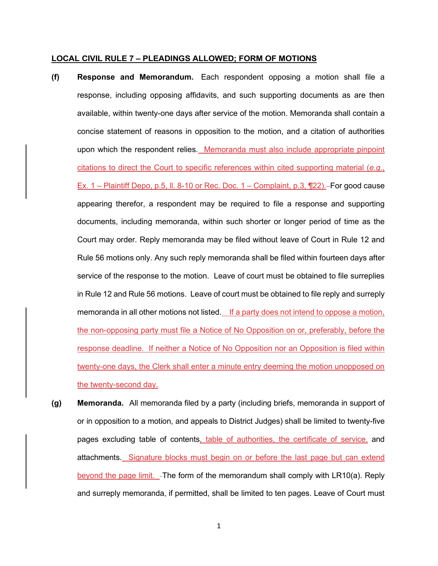#### **LOCAL CIVIL RULE 7 – PLEADINGS ALLOWED; FORM OF MOTIONS**

- **(f) Response and Memorandum.** Each respondent opposing a motion shall file a response, including opposing affidavits, and such supporting documents as are then available, within twenty-one days after service of the motion. Memoranda shall contain a concise statement of reasons in opposition to the motion, and a citation of authorities upon which the respondent relies. Memoranda must also include appropriate pinpoint citations to direct the Court to specific references within cited supporting material (*e.g.*, Ex.  $1$  – Plaintiff Depo, p.5, II. 8-10 or Rec. Doc.  $1$  – Complaint, p.3,  $\Pi$ 22). – For good cause appearing therefor, a respondent may be required to file a response and supporting documents, including memoranda, within such shorter or longer period of time as the Court may order. Reply memoranda may be filed without leave of Court in Rule 12 and Rule 56 motions only. Any such reply memoranda shall be filed within fourteen days after service of the response to the motion. Leave of court must be obtained to file surreplies in Rule 12 and Rule 56 motions. Leave of court must be obtained to file reply and surreply memoranda in all other motions not listed. If a party does not intend to oppose a motion, the non-opposing party must file a Notice of No Opposition on or, preferably, before the response deadline. If neither a Notice of No Opposition nor an Opposition is filed within twenty-one days, the Clerk shall enter a minute entry deeming the motion unopposed on the twenty-second day.
- **(g) Memoranda.** All memoranda filed by a party (including briefs, memoranda in support of or in opposition to a motion, and appeals to District Judges) shall be limited to twenty-five pages excluding table of contents, table of authorities, the certificate of service, and attachments. Signature blocks must begin on or before the last page but can extend beyond the page limit.  $-$ The form of the memorandum shall comply with  $LR10(a)$ . Reply and surreply memoranda, if permitted, shall be limited to ten pages. Leave of Court must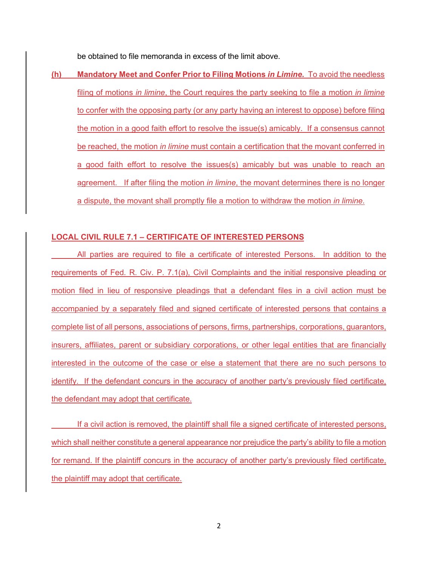be obtained to file memoranda in excess of the limit above.

**(h) Mandatory Meet and Confer Prior to Filing Motions** *in Limine***.** To avoid the needless filing of motions *in limine*, the Court requires the party seeking to file a motion *in limine* to confer with the opposing party (or any party having an interest to oppose) before filing the motion in a good faith effort to resolve the issue(s) amicably. If a consensus cannot be reached, the motion *in limine* must contain a certification that the movant conferred in a good faith effort to resolve the issues(s) amicably but was unable to reach an agreement. If after filing the motion *in limine*, the movant determines there is no longer a dispute, the movant shall promptly file a motion to withdraw the motion *in limine*.

#### **LOCAL CIVIL RULE 7.1 – CERTIFICATE OF INTERESTED PERSONS**

All parties are required to file a certificate of interested Persons. In addition to the requirements of Fed. R. Civ. P. 7.1(a), Civil Complaints and the initial responsive pleading or motion filed in lieu of responsive pleadings that a defendant files in a civil action must be accompanied by a separately filed and signed certificate of interested persons that contains a complete list of all persons, associations of persons, firms, partnerships, corporations, guarantors, insurers, affiliates, parent or subsidiary corporations, or other legal entities that are financially interested in the outcome of the case or else a statement that there are no such persons to identify. If the defendant concurs in the accuracy of another party's previously filed certificate, the defendant may adopt that certificate.

If a civil action is removed, the plaintiff shall file a signed certificate of interested persons, which shall neither constitute a general appearance nor prejudice the party's ability to file a motion for remand. If the plaintiff concurs in the accuracy of another party's previously filed certificate, the plaintiff may adopt that certificate.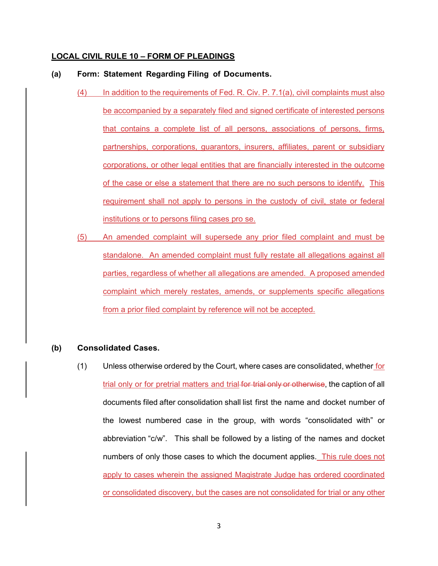#### **LOCAL CIVIL RULE 10 – FORM OF PLEADINGS**

#### **(a) Form: Statement Regarding Filing of Documents.**

- (4) In addition to the requirements of Fed. R. Civ. P. 7.1(a), civil complaints must also be accompanied by a separately filed and signed certificate of interested persons that contains a complete list of all persons, associations of persons, firms, partnerships, corporations, guarantors, insurers, affiliates, parent or subsidiary corporations, or other legal entities that are financially interested in the outcome of the case or else a statement that there are no such persons to identify. This requirement shall not apply to persons in the custody of civil, state or federal institutions or to persons filing cases pro se.
- (5) An amended complaint will supersede any prior filed complaint and must be standalone. An amended complaint must fully restate all allegations against all parties, regardless of whether all allegations are amended. A proposed amended complaint which merely restates, amends, or supplements specific allegations from a prior filed complaint by reference will not be accepted.

#### **(b) Consolidated Cases.**

(1) Unless otherwise ordered by the Court, where cases are consolidated, whether for trial only or for pretrial matters and trial for trial only or otherwise, the caption of all documents filed after consolidation shall list first the name and docket number of the lowest numbered case in the group, with words "consolidated with" or abbreviation "c/w". This shall be followed by a listing of the names and docket numbers of only those cases to which the document applies. This rule does not apply to cases wherein the assigned Magistrate Judge has ordered coordinated or consolidated discovery, but the cases are not consolidated for trial or any other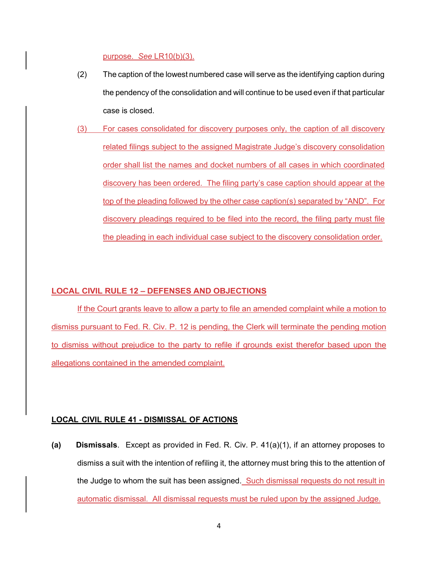purpose. *See* LR10(b)(3).

- (2) The caption of the lowest numbered case will serve as the identifying caption during the pendency of the consolidation and will continue to be used even if that particular case is closed.
- (3) For cases consolidated for discovery purposes only, the caption of all discovery related filings subject to the assigned Magistrate Judge's discovery consolidation order shall list the names and docket numbers of all cases in which coordinated discovery has been ordered. The filing party's case caption should appear at the top of the pleading followed by the other case caption(s) separated by "AND". For discovery pleadings required to be filed into the record, the filing party must file the pleading in each individual case subject to the discovery consolidation order.

### **LOCAL CIVIL RULE 12 – DEFENSES AND OBJECTIONS**

If the Court grants leave to allow a party to file an amended complaint while a motion to dismiss pursuant to Fed. R. Civ. P. 12 is pending, the Clerk will terminate the pending motion to dismiss without prejudice to the party to refile if grounds exist therefor based upon the allegations contained in the amended complaint.

#### **LOCAL CIVIL RULE 41 - DISMISSAL OF ACTIONS**

**(a) Dismissals**. Except as provided in Fed. R. Civ. P. 41(a)(1), if an attorney proposes to dismiss a suit with the intention of refiling it, the attorney must bring this to the attention of the Judge to whom the suit has been assigned. Such dismissal requests do not result in automatic dismissal. All dismissal requests must be ruled upon by the assigned Judge.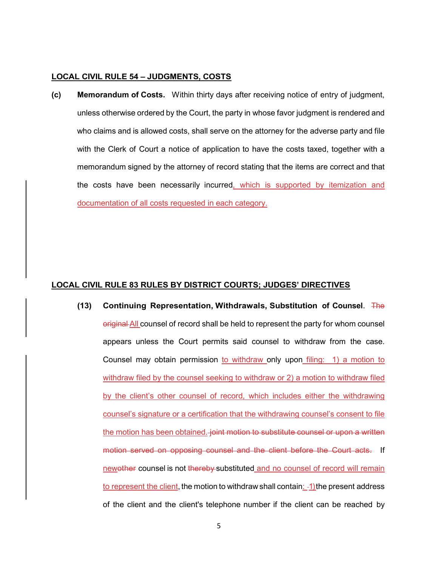#### **LOCAL CIVIL RULE 54 – JUDGMENTS, COSTS**

**(c) Memorandum of Costs.** Within thirty days after receiving notice of entry of judgment, unless otherwise ordered by the Court, the party in whose favor judgment is rendered and who claims and is allowed costs, shall serve on the attorney for the adverse party and file with the Clerk of Court a notice of application to have the costs taxed, together with a memorandum signed by the attorney of record stating that the items are correct and that the costs have been necessarily incurred, which is supported by itemization and documentation of all costs requested in each category.

#### **LOCAL CIVIL RULE 83 RULES BY DISTRICT COURTS; JUDGES' DIRECTIVES**

**(13) Continuing Representation, Withdrawals, Substitution of Counsel**. The original All counsel of record shall be held to represent the party for whom counsel appears unless the Court permits said counsel to withdraw from the case. Counsel may obtain permission to withdraw only upon filing: 1) a motion to withdraw filed by the counsel seeking to withdraw or 2) a motion to withdraw filed by the client's other counsel of record, which includes either the withdrawing counsel's signature or a certification that the withdrawing counsel's consent to file the motion has been obtained. joint motion to substitute counsel or upon a written motion served on opposing counsel and the client before the Court acts. If newother counsel is not thereby-substituted and no counsel of record will remain to represent the client, the motion to withdraw shall contain:  $-1$ ) the present address of the client and the client's telephone number if the client can be reached by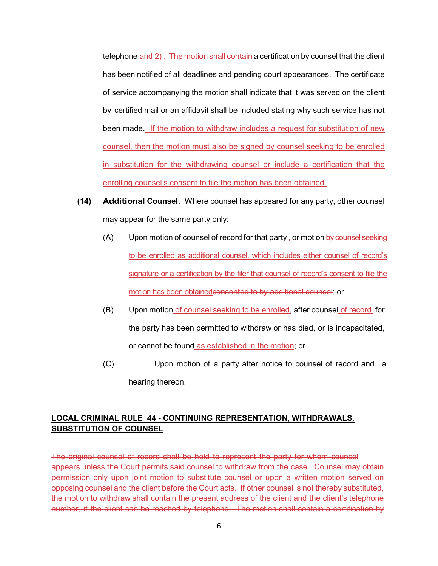telephone and  $2)$ . The motion shall contain a certification by counsel that the client has been notified of all deadlines and pending court appearances. The certificate of service accompanying the motion shall indicate that it was served on the client by certified mail or an affidavit shall be included stating why such service has not been made. If the motion to withdraw includes a request for substitution of new counsel, then the motion must also be signed by counsel seeking to be enrolled in substitution for the withdrawing counsel or include a certification that the enrolling counsel's consent to file the motion has been obtained.

- **(14) Additional Counsel**. Where counsel has appeared for any party, other counsel may appear for the same party only:
	- (A) Upon motion of counsel of record for that party  $\pm$  or motion by counsel seeking to be enrolled as additional counsel, which includes either counsel of record's signature or a certification by the filer that counsel of record's consent to file the motion has been obtainedconsented to by additional counsel; or
	- (B) Upon motion of counsel seeking to be enrolled, after counsel of record for the party has been permitted to withdraw or has died, or is incapacitated, or cannot be found as established in the motion; or
	- $(C)$  ———Upon motion of a party after notice to counsel of record and  $-a$ hearing thereon.

# **LOCAL CRIMINAL RULE 44 - CONTINUING REPRESENTATION, WITHDRAWALS, SUBSTITUTION OF COUNSEL**

The original counsel of record shall be held to represent the party for whom counsel appears unless the Court permits said counsel to withdraw from the case. Counsel may obtain permission only upon joint motion to substitute counsel or upon a written motion served on opposing counsel and the client before the Court acts. If other counsel is not thereby substituted, the motion to withdraw shall contain the present address of the client and the client's telephone number, if the client can be reached by telephone. The motion shall contain a certification by